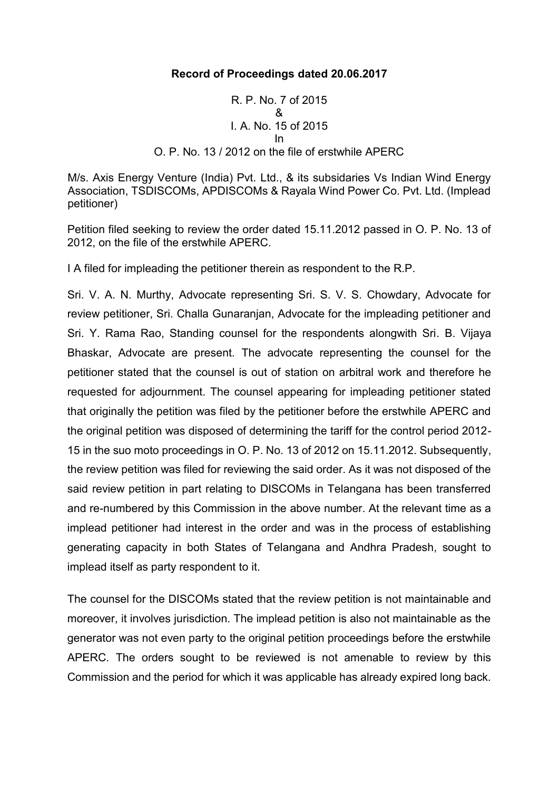## **Record of Proceedings dated 20.06.2017**

R. P. No. 7 of 2015 & I. A. No. 15 of 2015 In O. P. No. 13 / 2012 on the file of erstwhile APERC

M/s. Axis Energy Venture (India) Pvt. Ltd., & its subsidaries Vs Indian Wind Energy Association, TSDISCOMs, APDISCOMs & Rayala Wind Power Co. Pvt. Ltd. (Implead petitioner)

Petition filed seeking to review the order dated 15.11.2012 passed in O. P. No. 13 of 2012, on the file of the erstwhile APERC.

I A filed for impleading the petitioner therein as respondent to the R.P.

Sri. V. A. N. Murthy, Advocate representing Sri. S. V. S. Chowdary, Advocate for review petitioner, Sri. Challa Gunaranjan, Advocate for the impleading petitioner and Sri. Y. Rama Rao, Standing counsel for the respondents alongwith Sri. B. Vijaya Bhaskar, Advocate are present. The advocate representing the counsel for the petitioner stated that the counsel is out of station on arbitral work and therefore he requested for adjournment. The counsel appearing for impleading petitioner stated that originally the petition was filed by the petitioner before the erstwhile APERC and the original petition was disposed of determining the tariff for the control period 2012- 15 in the suo moto proceedings in O. P. No. 13 of 2012 on 15.11.2012. Subsequently, the review petition was filed for reviewing the said order. As it was not disposed of the said review petition in part relating to DISCOMs in Telangana has been transferred and re-numbered by this Commission in the above number. At the relevant time as a implead petitioner had interest in the order and was in the process of establishing generating capacity in both States of Telangana and Andhra Pradesh, sought to implead itself as party respondent to it.

The counsel for the DISCOMs stated that the review petition is not maintainable and moreover, it involves jurisdiction. The implead petition is also not maintainable as the generator was not even party to the original petition proceedings before the erstwhile APERC. The orders sought to be reviewed is not amenable to review by this Commission and the period for which it was applicable has already expired long back.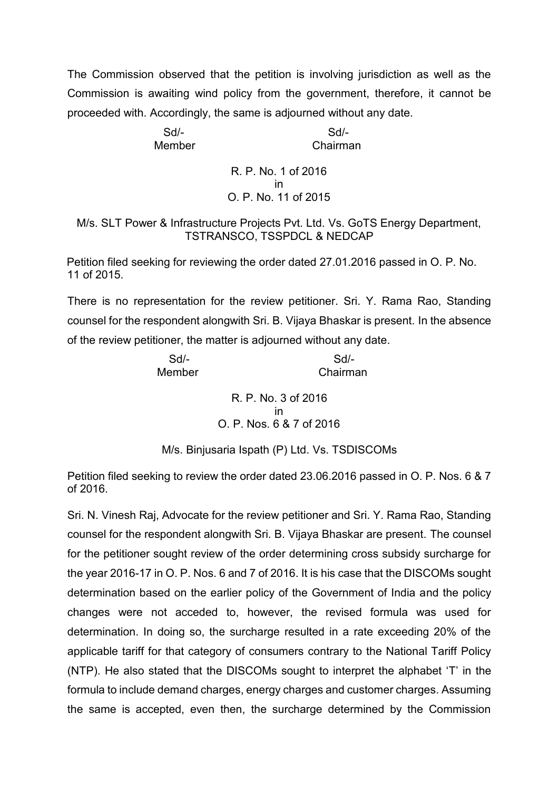The Commission observed that the petition is involving jurisdiction as well as the Commission is awaiting wind policy from the government, therefore, it cannot be proceeded with. Accordingly, the same is adjourned without any date.

Sd/- Sd/- Member Chairman

## R. P. No. 1 of 2016 in O. P. No. 11 of 2015

M/s. SLT Power & Infrastructure Projects Pvt. Ltd. Vs. GoTS Energy Department, TSTRANSCO, TSSPDCL & NEDCAP

Petition filed seeking for reviewing the order dated 27.01.2016 passed in O. P. No. 11 of 2015.

There is no representation for the review petitioner. Sri. Y. Rama Rao, Standing counsel for the respondent alongwith Sri. B. Vijaya Bhaskar is present. In the absence of the review petitioner, the matter is adjourned without any date.

> Sd/- Sd/- Member Chairman

> > R. P. No. 3 of 2016 in O. P. Nos. 6 & 7 of 2016

M/s. Binjusaria Ispath (P) Ltd. Vs. TSDISCOMs

Petition filed seeking to review the order dated 23.06.2016 passed in O. P. Nos. 6 & 7 of 2016.

Sri. N. Vinesh Raj, Advocate for the review petitioner and Sri. Y. Rama Rao, Standing counsel for the respondent alongwith Sri. B. Vijaya Bhaskar are present. The counsel for the petitioner sought review of the order determining cross subsidy surcharge for the year 2016-17 in O. P. Nos. 6 and 7 of 2016. It is his case that the DISCOMs sought determination based on the earlier policy of the Government of India and the policy changes were not acceded to, however, the revised formula was used for determination. In doing so, the surcharge resulted in a rate exceeding 20% of the applicable tariff for that category of consumers contrary to the National Tariff Policy (NTP). He also stated that the DISCOMs sought to interpret the alphabet 'T' in the formula to include demand charges, energy charges and customer charges. Assuming the same is accepted, even then, the surcharge determined by the Commission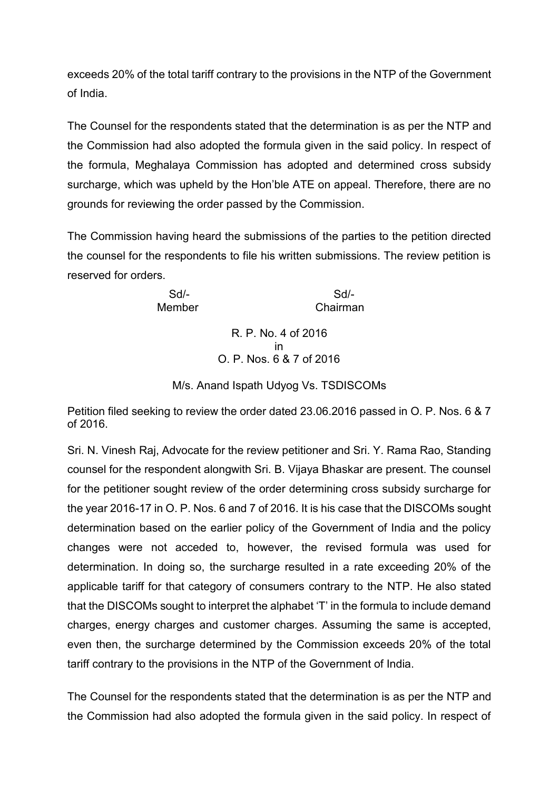exceeds 20% of the total tariff contrary to the provisions in the NTP of the Government of India.

The Counsel for the respondents stated that the determination is as per the NTP and the Commission had also adopted the formula given in the said policy. In respect of the formula, Meghalaya Commission has adopted and determined cross subsidy surcharge, which was upheld by the Hon'ble ATE on appeal. Therefore, there are no grounds for reviewing the order passed by the Commission.

The Commission having heard the submissions of the parties to the petition directed the counsel for the respondents to file his written submissions. The review petition is reserved for orders.

Sd/- Sd/- Member Chairman

> R. P. No. 4 of 2016 in O. P. Nos. 6 & 7 of 2016

M/s. Anand Ispath Udyog Vs. TSDISCOMs

Petition filed seeking to review the order dated 23.06.2016 passed in O. P. Nos. 6 & 7 of 2016.

Sri. N. Vinesh Raj, Advocate for the review petitioner and Sri. Y. Rama Rao, Standing counsel for the respondent alongwith Sri. B. Vijaya Bhaskar are present. The counsel for the petitioner sought review of the order determining cross subsidy surcharge for the year 2016-17 in O. P. Nos. 6 and 7 of 2016. It is his case that the DISCOMs sought determination based on the earlier policy of the Government of India and the policy changes were not acceded to, however, the revised formula was used for determination. In doing so, the surcharge resulted in a rate exceeding 20% of the applicable tariff for that category of consumers contrary to the NTP. He also stated that the DISCOMs sought to interpret the alphabet 'T' in the formula to include demand charges, energy charges and customer charges. Assuming the same is accepted, even then, the surcharge determined by the Commission exceeds 20% of the total tariff contrary to the provisions in the NTP of the Government of India.

The Counsel for the respondents stated that the determination is as per the NTP and the Commission had also adopted the formula given in the said policy. In respect of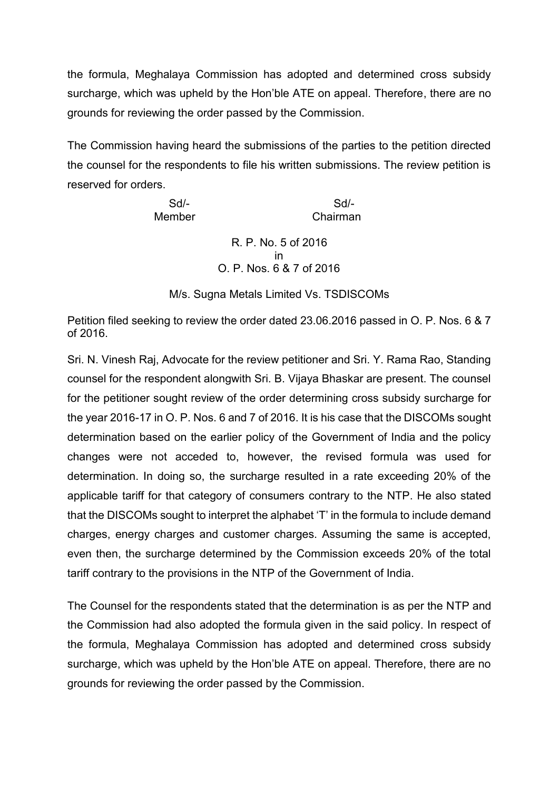the formula, Meghalaya Commission has adopted and determined cross subsidy surcharge, which was upheld by the Hon'ble ATE on appeal. Therefore, there are no grounds for reviewing the order passed by the Commission.

The Commission having heard the submissions of the parties to the petition directed the counsel for the respondents to file his written submissions. The review petition is reserved for orders.

| Sd/-   | $Sd/-$              |  |
|--------|---------------------|--|
| Member | Chairman            |  |
|        | R. P. No. 5 of 2016 |  |

in O. P. Nos. 6 & 7 of 2016

M/s. Sugna Metals Limited Vs. TSDISCOMs

Petition filed seeking to review the order dated 23.06.2016 passed in O. P. Nos. 6 & 7 of 2016.

Sri. N. Vinesh Raj, Advocate for the review petitioner and Sri. Y. Rama Rao, Standing counsel for the respondent alongwith Sri. B. Vijaya Bhaskar are present. The counsel for the petitioner sought review of the order determining cross subsidy surcharge for the year 2016-17 in O. P. Nos. 6 and 7 of 2016. It is his case that the DISCOMs sought determination based on the earlier policy of the Government of India and the policy changes were not acceded to, however, the revised formula was used for determination. In doing so, the surcharge resulted in a rate exceeding 20% of the applicable tariff for that category of consumers contrary to the NTP. He also stated that the DISCOMs sought to interpret the alphabet 'T' in the formula to include demand charges, energy charges and customer charges. Assuming the same is accepted, even then, the surcharge determined by the Commission exceeds 20% of the total tariff contrary to the provisions in the NTP of the Government of India.

The Counsel for the respondents stated that the determination is as per the NTP and the Commission had also adopted the formula given in the said policy. In respect of the formula, Meghalaya Commission has adopted and determined cross subsidy surcharge, which was upheld by the Hon'ble ATE on appeal. Therefore, there are no grounds for reviewing the order passed by the Commission.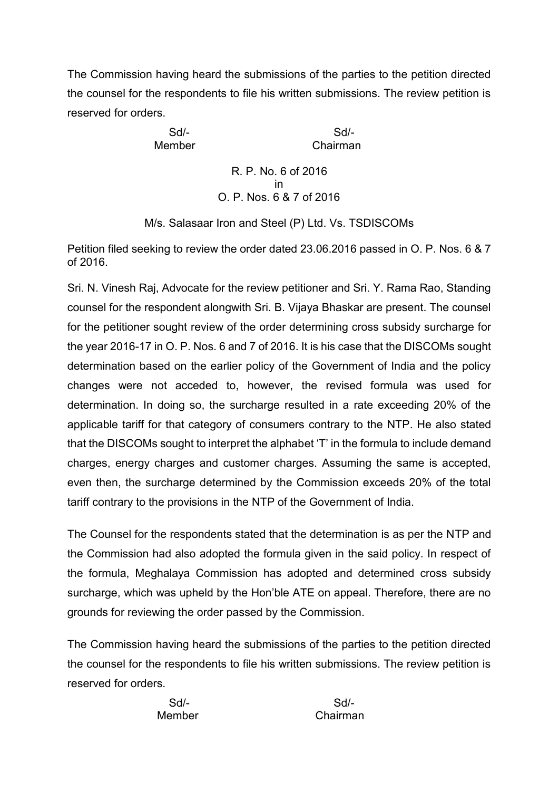The Commission having heard the submissions of the parties to the petition directed the counsel for the respondents to file his written submissions. The review petition is reserved for orders.

Sd/- Sd/- Member Chairman

> R. P. No. 6 of 2016 in O. P. Nos. 6 & 7 of 2016

M/s. Salasaar Iron and Steel (P) Ltd. Vs. TSDISCOMs

Petition filed seeking to review the order dated 23.06.2016 passed in O. P. Nos. 6 & 7 of 2016.

Sri. N. Vinesh Raj, Advocate for the review petitioner and Sri. Y. Rama Rao, Standing counsel for the respondent alongwith Sri. B. Vijaya Bhaskar are present. The counsel for the petitioner sought review of the order determining cross subsidy surcharge for the year 2016-17 in O. P. Nos. 6 and 7 of 2016. It is his case that the DISCOMs sought determination based on the earlier policy of the Government of India and the policy changes were not acceded to, however, the revised formula was used for determination. In doing so, the surcharge resulted in a rate exceeding 20% of the applicable tariff for that category of consumers contrary to the NTP. He also stated that the DISCOMs sought to interpret the alphabet 'T' in the formula to include demand charges, energy charges and customer charges. Assuming the same is accepted, even then, the surcharge determined by the Commission exceeds 20% of the total tariff contrary to the provisions in the NTP of the Government of India.

The Counsel for the respondents stated that the determination is as per the NTP and the Commission had also adopted the formula given in the said policy. In respect of the formula, Meghalaya Commission has adopted and determined cross subsidy surcharge, which was upheld by the Hon'ble ATE on appeal. Therefore, there are no grounds for reviewing the order passed by the Commission.

The Commission having heard the submissions of the parties to the petition directed the counsel for the respondents to file his written submissions. The review petition is reserved for orders.

Sd/- Sd/- Member Chairman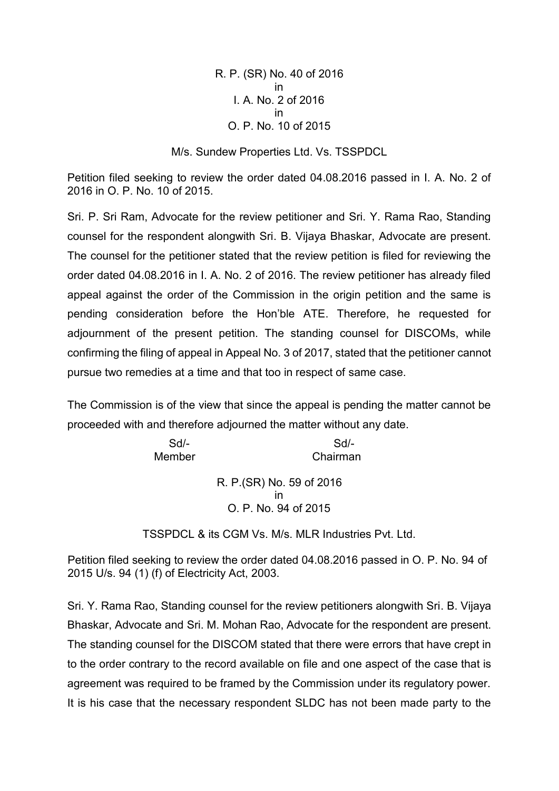R. P. (SR) No. 40 of 2016 in I. A. No. 2 of 2016 in O. P. No. 10 of 2015

M/s. Sundew Properties Ltd. Vs. TSSPDCL

Petition filed seeking to review the order dated 04.08.2016 passed in I. A. No. 2 of 2016 in O. P. No. 10 of 2015.

Sri. P. Sri Ram, Advocate for the review petitioner and Sri. Y. Rama Rao, Standing counsel for the respondent alongwith Sri. B. Vijaya Bhaskar, Advocate are present. The counsel for the petitioner stated that the review petition is filed for reviewing the order dated 04.08.2016 in I. A. No. 2 of 2016. The review petitioner has already filed appeal against the order of the Commission in the origin petition and the same is pending consideration before the Hon'ble ATE. Therefore, he requested for adjournment of the present petition. The standing counsel for DISCOMs, while confirming the filing of appeal in Appeal No. 3 of 2017, stated that the petitioner cannot pursue two remedies at a time and that too in respect of same case.

The Commission is of the view that since the appeal is pending the matter cannot be proceeded with and therefore adjourned the matter without any date.

> Sd/- Sd/- Member Chairman R. P.(SR) No. 59 of 2016 in O. P. No. 94 of 2015

TSSPDCL & its CGM Vs. M/s. MLR Industries Pvt. Ltd.

Petition filed seeking to review the order dated 04.08.2016 passed in O. P. No. 94 of 2015 U/s. 94 (1) (f) of Electricity Act, 2003.

Sri. Y. Rama Rao, Standing counsel for the review petitioners alongwith Sri. B. Vijaya Bhaskar, Advocate and Sri. M. Mohan Rao, Advocate for the respondent are present. The standing counsel for the DISCOM stated that there were errors that have crept in to the order contrary to the record available on file and one aspect of the case that is agreement was required to be framed by the Commission under its regulatory power. It is his case that the necessary respondent SLDC has not been made party to the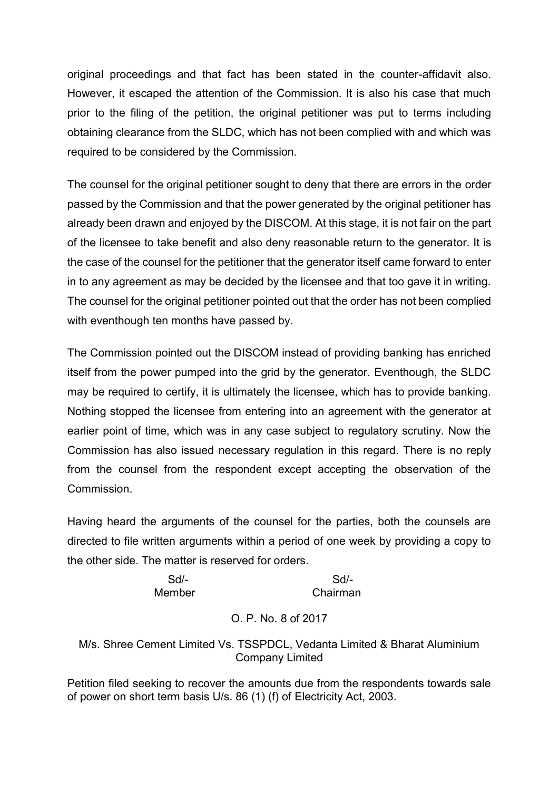original proceedings and that fact has been stated in the counter-affidavit also. However, it escaped the attention of the Commission. It is also his case that much prior to the filing of the petition, the original petitioner was put to terms including obtaining clearance from the SLDC, which has not been complied with and which was required to be considered by the Commission.

The counsel for the original petitioner sought to deny that there are errors in the order passed by the Commission and that the power generated by the original petitioner has already been drawn and enjoyed by the DISCOM. At this stage, it is not fair on the part of the licensee to take benefit and also deny reasonable return to the generator. It is the case of the counsel for the petitioner that the generator itself came forward to enter in to any agreement as may be decided by the licensee and that too gave it in writing. The counsel for the original petitioner pointed out that the order has not been complied with eventhough ten months have passed by.

The Commission pointed out the DISCOM instead of providing banking has enriched itself from the power pumped into the grid by the generator. Eventhough, the SLDC may be required to certify, it is ultimately the licensee, which has to provide banking. Nothing stopped the licensee from entering into an agreement with the generator at earlier point of time, which was in any case subject to regulatory scrutiny. Now the Commission has also issued necessary regulation in this regard. There is no reply from the counsel from the respondent except accepting the observation of the Commission.

Having heard the arguments of the counsel for the parties, both the counsels are directed to file written arguments within a period of one week by providing a copy to the other side. The matter is reserved for orders.

> Sd/- Sd/- Member Chairman

## O. P. No. 8 of 2017

M/s. Shree Cement Limited Vs. TSSPDCL, Vedanta Limited & Bharat Aluminium Company Limited

Petition filed seeking to recover the amounts due from the respondents towards sale of power on short term basis U/s. 86 (1) (f) of Electricity Act, 2003.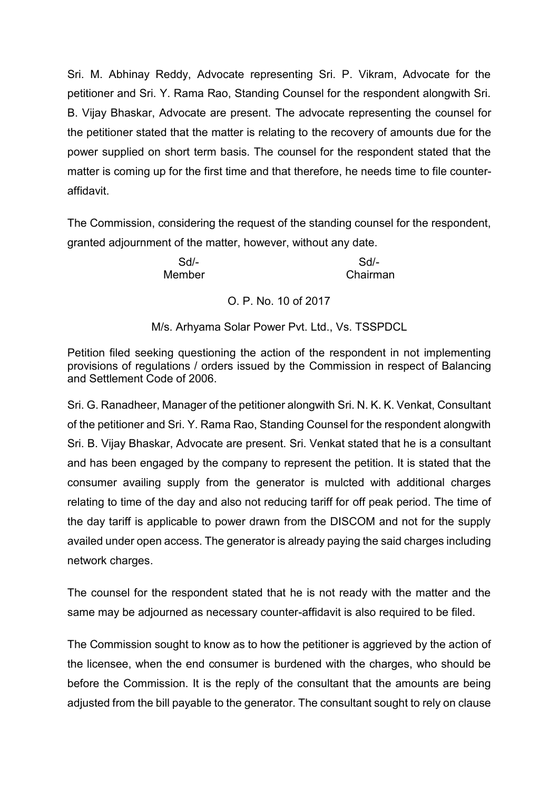Sri. M. Abhinay Reddy, Advocate representing Sri. P. Vikram, Advocate for the petitioner and Sri. Y. Rama Rao, Standing Counsel for the respondent alongwith Sri. B. Vijay Bhaskar, Advocate are present. The advocate representing the counsel for the petitioner stated that the matter is relating to the recovery of amounts due for the power supplied on short term basis. The counsel for the respondent stated that the matter is coming up for the first time and that therefore, he needs time to file counter affidavit.

The Commission, considering the request of the standing counsel for the respondent, granted adjournment of the matter, however, without any date.

Sd/- Sd/- Member Chairman

O. P. No. 10 of 2017

M/s. Arhyama Solar Power Pvt. Ltd., Vs. TSSPDCL

Petition filed seeking questioning the action of the respondent in not implementing provisions of regulations / orders issued by the Commission in respect of Balancing and Settlement Code of 2006.

Sri. G. Ranadheer, Manager of the petitioner alongwith Sri. N. K. K. Venkat, Consultant of the petitioner and Sri. Y. Rama Rao, Standing Counsel for the respondent alongwith Sri. B. Vijay Bhaskar, Advocate are present. Sri. Venkat stated that he is a consultant and has been engaged by the company to represent the petition. It is stated that the consumer availing supply from the generator is mulcted with additional charges relating to time of the day and also not reducing tariff for off peak period. The time of the day tariff is applicable to power drawn from the DISCOM and not for the supply availed under open access. The generator is already paying the said charges including network charges.

The counsel for the respondent stated that he is not ready with the matter and the same may be adjourned as necessary counter-affidavit is also required to be filed.

The Commission sought to know as to how the petitioner is aggrieved by the action of the licensee, when the end consumer is burdened with the charges, who should be before the Commission. It is the reply of the consultant that the amounts are being adjusted from the bill payable to the generator. The consultant sought to rely on clause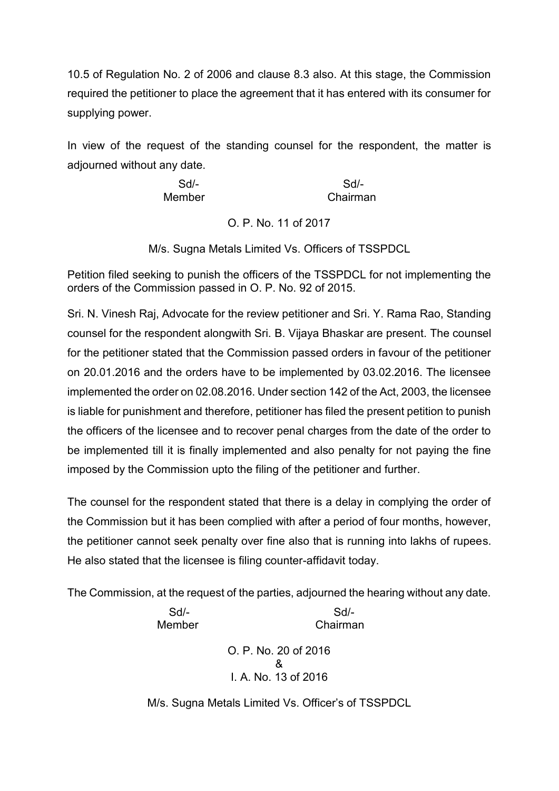10.5 of Regulation No. 2 of 2006 and clause 8.3 also. At this stage, the Commission required the petitioner to place the agreement that it has entered with its consumer for supplying power.

In view of the request of the standing counsel for the respondent, the matter is adjourned without any date.

| $Sd$ - | $Sd$ -   |
|--------|----------|
| Member | Chairman |

O. P. No. 11 of 2017

M/s. Sugna Metals Limited Vs. Officers of TSSPDCL

Petition filed seeking to punish the officers of the TSSPDCL for not implementing the orders of the Commission passed in O. P. No. 92 of 2015.

Sri. N. Vinesh Raj, Advocate for the review petitioner and Sri. Y. Rama Rao, Standing counsel for the respondent alongwith Sri. B. Vijaya Bhaskar are present. The counsel for the petitioner stated that the Commission passed orders in favour of the petitioner on 20.01.2016 and the orders have to be implemented by 03.02.2016. The licensee implemented the order on 02.08.2016. Under section 142 of the Act, 2003, the licensee is liable for punishment and therefore, petitioner has filed the present petition to punish the officers of the licensee and to recover penal charges from the date of the order to be implemented till it is finally implemented and also penalty for not paying the fine imposed by the Commission upto the filing of the petitioner and further.

The counsel for the respondent stated that there is a delay in complying the order of the Commission but it has been complied with after a period of four months, however, the petitioner cannot seek penalty over fine also that is running into lakhs of rupees. He also stated that the licensee is filing counter-affidavit today.

The Commission, at the request of the parties, adjourned the hearing without any date.

Sd/- Sd/- Member Chairman

O. P. No. 20 of 2016 & I. A. No. 13 of 2016

M/s. Sugna Metals Limited Vs. Officer's of TSSPDCL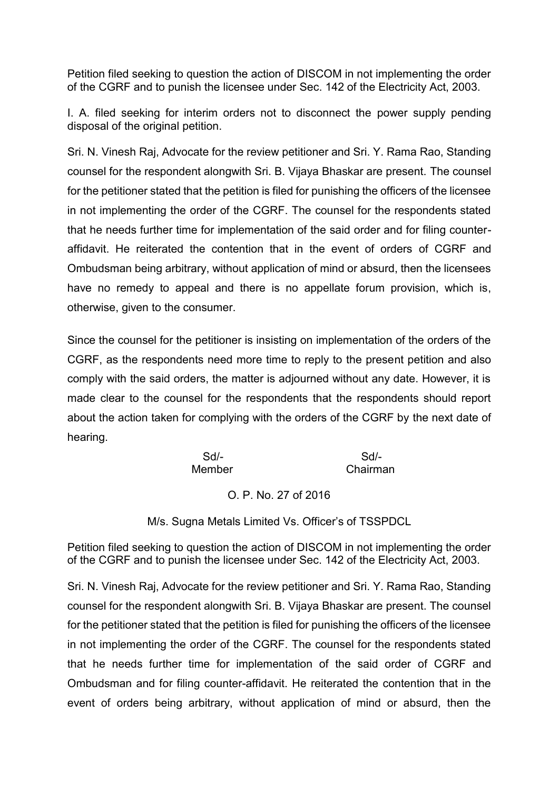Petition filed seeking to question the action of DISCOM in not implementing the order of the CGRF and to punish the licensee under Sec. 142 of the Electricity Act, 2003.

I. A. filed seeking for interim orders not to disconnect the power supply pending disposal of the original petition.

Sri. N. Vinesh Raj, Advocate for the review petitioner and Sri. Y. Rama Rao, Standing counsel for the respondent alongwith Sri. B. Vijaya Bhaskar are present. The counsel for the petitioner stated that the petition is filed for punishing the officers of the licensee in not implementing the order of the CGRF. The counsel for the respondents stated that he needs further time for implementation of the said order and for filing counter affidavit. He reiterated the contention that in the event of orders of CGRF and Ombudsman being arbitrary, without application of mind or absurd, then the licensees have no remedy to appeal and there is no appellate forum provision, which is, otherwise, given to the consumer.

Since the counsel for the petitioner is insisting on implementation of the orders of the CGRF, as the respondents need more time to reply to the present petition and also comply with the said orders, the matter is adjourned without any date. However, it is made clear to the counsel for the respondents that the respondents should report about the action taken for complying with the orders of the CGRF by the next date of hearing.

| $Sd$ - | Sd/-     |
|--------|----------|
| Member | Chairman |

## O. P. No. 27 of 2016

M/s. Sugna Metals Limited Vs. Officer's of TSSPDCL

Petition filed seeking to question the action of DISCOM in not implementing the order of the CGRF and to punish the licensee under Sec. 142 of the Electricity Act, 2003.

Sri. N. Vinesh Raj, Advocate for the review petitioner and Sri. Y. Rama Rao, Standing counsel for the respondent alongwith Sri. B. Vijaya Bhaskar are present. The counsel for the petitioner stated that the petition is filed for punishing the officers of the licensee in not implementing the order of the CGRF. The counsel for the respondents stated that he needs further time for implementation of the said order of CGRF and Ombudsman and for filing counter-affidavit. He reiterated the contention that in the event of orders being arbitrary, without application of mind or absurd, then the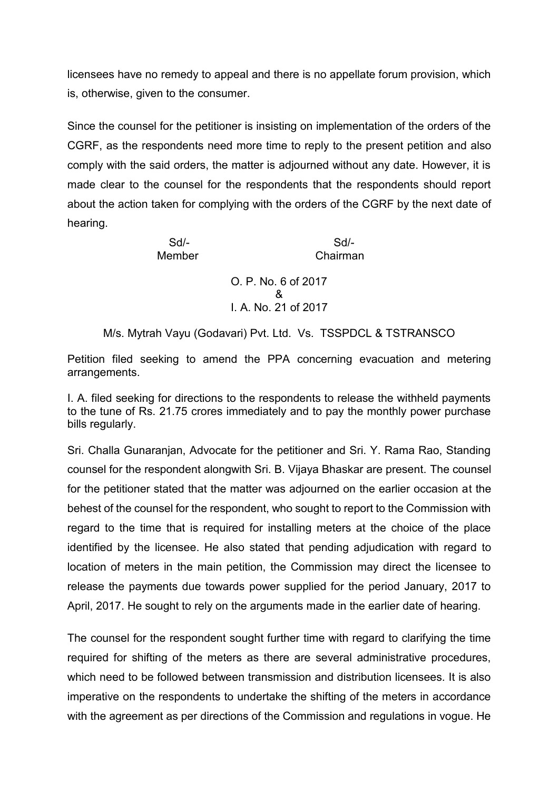licensees have no remedy to appeal and there is no appellate forum provision, which is, otherwise, given to the consumer.

Since the counsel for the petitioner is insisting on implementation of the orders of the CGRF, as the respondents need more time to reply to the present petition and also comply with the said orders, the matter is adjourned without any date. However, it is made clear to the counsel for the respondents that the respondents should report about the action taken for complying with the orders of the CGRF by the next date of hearing.

> Sd/- Sd/- Member Chairman O. P. No. 6 of 2017 & I. A. No. 21 of 2017

M/s. Mytrah Vayu (Godavari) Pvt. Ltd. Vs. TSSPDCL & TSTRANSCO

Petition filed seeking to amend the PPA concerning evacuation and metering arrangements.

I. A. filed seeking for directions to the respondents to release the withheld payments to the tune of Rs. 21.75 crores immediately and to pay the monthly power purchase bills regularly.

Sri. Challa Gunaranjan, Advocate for the petitioner and Sri. Y. Rama Rao, Standing counsel for the respondent alongwith Sri. B. Vijaya Bhaskar are present. The counsel for the petitioner stated that the matter was adjourned on the earlier occasion at the behest of the counsel for the respondent, who sought to report to the Commission with regard to the time that is required for installing meters at the choice of the place identified by the licensee. He also stated that pending adjudication with regard to location of meters in the main petition, the Commission may direct the licensee to release the payments due towards power supplied for the period January, 2017 to April, 2017. He sought to rely on the arguments made in the earlier date of hearing.

The counsel for the respondent sought further time with regard to clarifying the time required for shifting of the meters as there are several administrative procedures, which need to be followed between transmission and distribution licensees. It is also imperative on the respondents to undertake the shifting of the meters in accordance with the agreement as per directions of the Commission and regulations in vogue. He